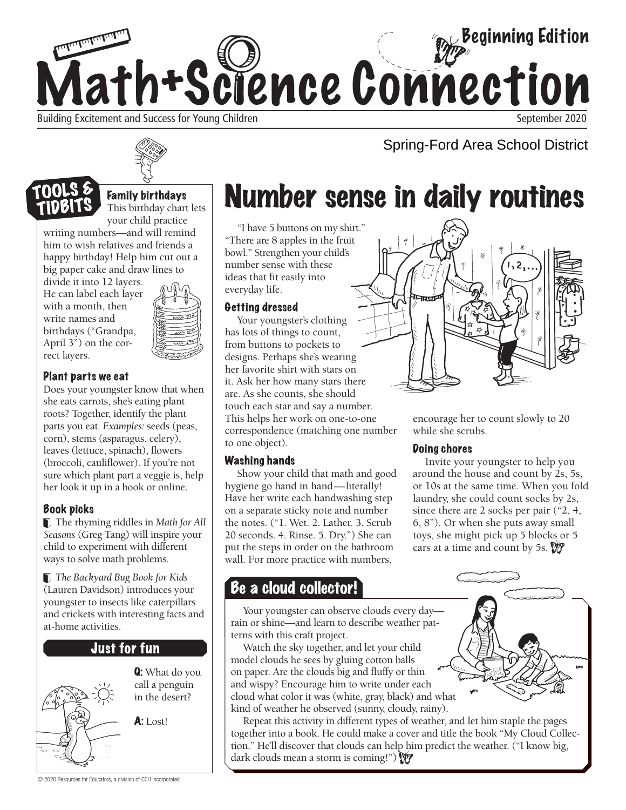



Family birthdays This birthday chart lets your child practice

writing numbers—and will remind him to wish relatives and friends a happy birthday! Help him cut out a big paper cake and draw lines to

divide it into 12 layers. He can label each layer with a month, then write names and birthdays ("Grandpa, April 3") on the correct layers.



### Plant parts we eat

Does your youngster know that when she eats carrots, she's eating plant roots? Together, identify the plant parts you eat. *Examples:* seeds (peas, corn), stems (asparagus, celery), leaves (lettuce, spinach), flowers (broccoli, cauliflower). If you're not sure which plant part a veggie is, help her look it up in a book or online.

### Book picks

 The rhyming riddles in *Math for All Seasons* (Greg Tang) will inspire your child to experiment with different ways to solve math problems.

*The Backyard Bug Book for Kids*  (Lauren Davidson) introduces your youngster to insects like caterpillars and crickets with interesting facts and at-home activities.

### **Just for fun**



Q: What do you call a penguin in the desert?

A: Lost!

# Number sense in daily routines

"I have 5 buttons on my shirt." "There are 8 apples in the fruit bowl." Strengthen your child's number sense with these ideas that fit easily into everyday life.

#### Getting dressed

Your youngster's clothing has lots of things to count, from buttons to pockets to designs. Perhaps she's wearing her favorite shirt with stars on it. Ask her how many stars there are. As she counts, she should touch each star and say a number. This helps her work on one-to-one correspondence (matching one number to one object).

### Washing hands

Show your child that math and good hygiene go hand in hand—literally! Have her write each handwashing step on a separate sticky note and number the notes. ("1. Wet. 2. Lather. 3. Scrub 20 seconds. 4. Rinse. 5. Dry.") She can put the steps in order on the bathroom wall. For more practice with numbers,

### Be a cloud collector!

Your youngster can observe clouds every day rain or shine—and learn to describe weather patterns with this craft project.

Watch the sky together, and let your child model clouds he sees by gluing cotton balls on paper. Are the clouds big and fluffy or thin and wispy? Encourage him to write under each cloud what color it was (white, gray, black) and what kind of weather he observed (sunny, cloudy, rainy).

Repeat this activity in different types of weather, and let him staple the pages together into a book. He could make a cover and title the book "My Cloud Collection." He'll discover that clouds can help him predict the weather. ("I know big, dark clouds mean a storm is coming!")



Spring-Ford Area School District

encourage her to count slowly to 20 while she scrubs.

### Doing chores

Invite your youngster to help you around the house and count by 2s, 5s, or 10s at the same time. When you fold laundry, she could count socks by 2s, since there are 2 socks per pair ("2, 4, 6, 8"). Or when she puts away small toys, she might pick up 5 blocks or 5 cars at a time and count by 5s.

© 2020 Resources for Educators, a division of CCH Incorporated